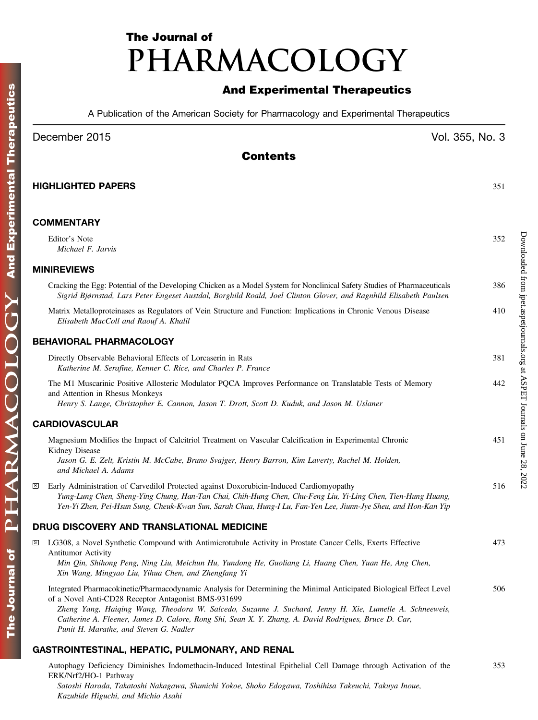# The Journal of PHARMACOLOGY

### And Experimental Therapeutics

A Publication of the American Society for Pharmacology and Experimental Therapeutics

### December 2015 Vol. 355, No. 3

Downloaded from [jpet.aspetjournals.org](http://jpet.aspetjournals.org/) at ASPET Journals on June 28, 2022

Downloaded from jpet.aspetjournals.org at ASPET Journals on June 28, 2022

### Contents

|              | <b>HIGHLIGHTED PAPERS</b>                                                                                                                                                                                                                                                                                                                                                                                                               | 351 |
|--------------|-----------------------------------------------------------------------------------------------------------------------------------------------------------------------------------------------------------------------------------------------------------------------------------------------------------------------------------------------------------------------------------------------------------------------------------------|-----|
|              | <b>COMMENTARY</b>                                                                                                                                                                                                                                                                                                                                                                                                                       |     |
|              | Editor's Note<br>Michael F. Jarvis                                                                                                                                                                                                                                                                                                                                                                                                      | 352 |
|              | <b>MINIREVIEWS</b>                                                                                                                                                                                                                                                                                                                                                                                                                      |     |
|              | Cracking the Egg: Potential of the Developing Chicken as a Model System for Nonclinical Safety Studies of Pharmaceuticals<br>Sigrid Bjørnstad, Lars Peter Engeset Austdal, Borghild Roald, Joel Clinton Glover, and Ragnhild Elisabeth Paulsen                                                                                                                                                                                          | 386 |
|              | Matrix Metalloproteinases as Regulators of Vein Structure and Function: Implications in Chronic Venous Disease<br>Elisabeth MacColl and Raouf A. Khalil                                                                                                                                                                                                                                                                                 | 410 |
|              | <b>BEHAVIORAL PHARMACOLOGY</b>                                                                                                                                                                                                                                                                                                                                                                                                          |     |
|              | Directly Observable Behavioral Effects of Lorcaserin in Rats<br>Katherine M. Serafine, Kenner C. Rice, and Charles P. France                                                                                                                                                                                                                                                                                                            | 381 |
|              | The M1 Muscarinic Positive Allosteric Modulator PQCA Improves Performance on Translatable Tests of Memory<br>and Attention in Rhesus Monkeys<br>Henry S. Lange, Christopher E. Cannon, Jason T. Drott, Scott D. Kuduk, and Jason M. Uslaner                                                                                                                                                                                             | 442 |
|              | <b>CARDIOVASCULAR</b>                                                                                                                                                                                                                                                                                                                                                                                                                   |     |
|              | Magnesium Modifies the Impact of Calcitriol Treatment on Vascular Calcification in Experimental Chronic<br>Kidney Disease<br>Jason G. E. Zelt, Kristin M. McCabe, Bruno Svajger, Henry Barron, Kim Laverty, Rachel M. Holden,<br>and Michael A. Adams                                                                                                                                                                                   | 451 |
| $\vert$ S    | Early Administration of Carvedilol Protected against Doxorubicin-Induced Cardiomyopathy<br>Yung-Lung Chen, Sheng-Ying Chung, Han-Tan Chai, Chih-Hung Chen, Chu-Feng Liu, Yi-Ling Chen, Tien-Hung Huang,<br>Yen-Yi Zhen, Pei-Hsun Sung, Cheuk-Kwan Sun, Sarah Chua, Hung-I Lu, Fan-Yen Lee, Jiunn-Jye Sheu, and Hon-Kan Yip                                                                                                              | 516 |
|              | DRUG DISCOVERY AND TRANSLATIONAL MEDICINE                                                                                                                                                                                                                                                                                                                                                                                               |     |
| $\mathbf{S}$ | LG308, a Novel Synthetic Compound with Antimicrotubule Activity in Prostate Cancer Cells, Exerts Effective<br><b>Antitumor Activity</b><br>Min Qin, Shihong Peng, Ning Liu, Meichun Hu, Yundong He, Guoliang Li, Huang Chen, Yuan He, Ang Chen,<br>Xin Wang, Mingyao Liu, Yihua Chen, and Zhengfang Yi                                                                                                                                  | 473 |
|              | Integrated Pharmacokinetic/Pharmacodynamic Analysis for Determining the Minimal Anticipated Biological Effect Level<br>of a Novel Anti-CD28 Receptor Antagonist BMS-931699<br>Zheng Yang, Haiqing Wang, Theodora W. Salcedo, Suzanne J. Suchard, Jenny H. Xie, Lumelle A. Schneeweis,<br>Catherine A. Fleener, James D. Calore, Rong Shi, Sean X. Y. Zhang, A. David Rodrigues, Bruce D. Car,<br>Punit H. Marathe, and Steven G. Nadler | 506 |
|              | GASTROINTESTINAL, HEPATIC, PULMONARY, AND RENAL                                                                                                                                                                                                                                                                                                                                                                                         |     |

## Autophagy Deficiency Diminishes Indomethacin-Induced Intestinal Epithelial Cell Damage through Activation of the

ERK/Nrf2/HO-1 Pathway 353 Satoshi Harada, Takatoshi Nakagawa, Shunichi Yokoe, Shoko Edogawa, Toshihisa Takeuchi, Takuya Inoue, Kazuhide Higuchi, and Michio Asahi